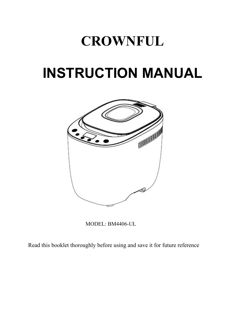# **CROWNFUL**

# **INSTRUCTION MANUAL**



MODEL: BM4406-UL

Read this booklet thoroughly before using and save it for future reference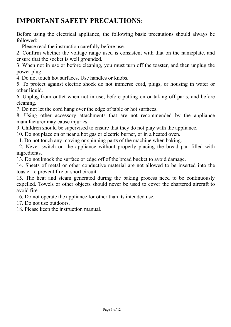# **IMPORTANT SAFETY PRECAUTIONS**:

Before using the electrical appliance, the following basic precautions should always be followed:

1. Please read the instruction carefully before use.

2. Confirm whether the voltage range used is consistent with that on the nameplate, and ensure that the socket is well grounded.

3. When not in use or before cleaning, you must turn off the toaster, and then unplug the power plug.

4. Do not touch hot surfaces. Use handles or knobs.

5. To protect against electric shock do not immerse cord, plugs, or housing in water or other liquid.

6. Unplug from outlet when not in use, before putting on or taking off parts, and before cleaning.

7. Do not let the cord hang over the edge of table or hot surfaces.

8. Using other accessory attachments that are not recommended by the appliance manufacturer may cause injuries.

9. Children should be supervised to ensure that they do not play with the appliance.

10. Do not place on or near a hot gas or electric burner, or in a heated oven.

11. Do not touch any moving or spinning parts of the machine when baking.

12. Never switch on the appliance without properly placing the bread pan filled with ingredients.

13. Do not knock the surface or edge off of the bread bucket to avoid damage.

14. Sheets of metal or other conductive material are not allowed to be inserted into the toaster to prevent fire or short circuit.

15. The heat and steam generated during the baking process need to be continuously expelled. Towels or other objects should never be used to cover the chartered aircraft to avoid fire.

16. Do not operate the appliance for other than its intended use.

17. Do not use outdoors.

18. Please keep the instruction manual.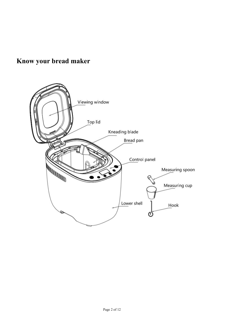# **Know your bread maker**

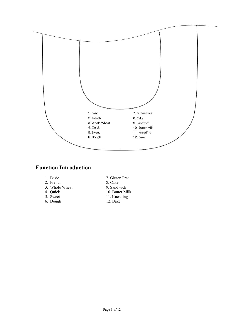

### **Function Introduction**

- 
- 
- 3. Whole Wheat 4. Quick
- 
- 
- 6. Dough
- 1. Basic 7. Gluten Free<br>
2. French 8. Cake 2. French 8. Cake<br>
3. Whole Wheat 9. Sandwich
	-
- 4. Quick 10. Butter Milk<br>5. Sweet 11. Kneading
	- 11. Kneading<br>12. Bake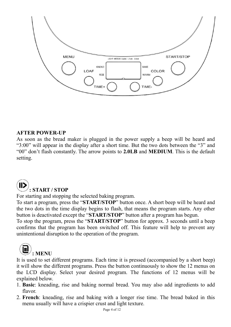

### **AFTER POWER-UP**

As soon as the bread maker is plugged in the power supply a beep will be heard and "3:00" will appear in the display after a short time. But the two dots between the "3" and "00" don't flash constantly. The arrow points to **2.0LB** and **MEDIUM**. This is the default setting.

### **: START / STOP**

For starting and stopping the selected baking program.

To start a program, press the "**START/STOP**" button once. A short beep will be heard and the two dots in the time display begins to flash, that means the program starts. Any other button is deactivated except the "**START/STOP**" button after a program has begun.

To stop the program, press the "**START/STOP**" button for approx. 3 seconds until a beep confirms that the program has been switched off. This feature will help to prevent any unintentional disruption to the operation of the program.



It is used to set different programs. Each time it is pressed (accompanied by a short beep) it will show the different programs. Press the button continuously to show the 12 menus on the LCD display. Select your desired program. The functions of 12 menus will be explained below.

- 1. **Basic**: kneading, rise and baking normal bread. You may also add ingredients to add flavor.
- 2. **French**: kneading, rise and baking with a longer rise time. The bread baked in this menu usually will have a crispier crust and light texture.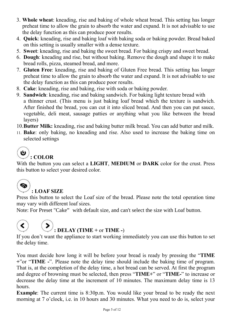- 3. **Whole wheat**: kneading, rise and baking of whole wheat bread. This setting has longer preheat time to allow the grain to absorb the water and expand. It is not advisable to use the delay function as this can produce poor results.
- 4. **Quick**: kneading, rise and baking loaf with baking soda or baking powder. Bread baked on this setting is usually smallerwith a dense texture.
- 5. **Sweet**: kneading, rise and baking the sweet bread. For baking crispy and sweet bread.
- 6. **Dough**: kneading and rise, but without baking. Remove the dough and shape it to make bread rolls, pizza, steamed bread, and more.
- 7. **Gluten Free**: kneading, rise and baking of Gluten Free bread. This setting has longer preheat time to allow the grain to absorb the water and expand. It is not advisable to use the delay function as this can produce poor results.
- 8. **Cake**: kneading, rise and baking, rise with soda or baking powder.
- 9. **Sandwich**: kneading, rise and baking sandwich. For baking light texture bread with a thinner crust. (This menu is just baking loaf bread which the texture is sandwich. After finished the bread, you can cut it into sliced bread. And then you can put sauce, vegetable, deli meat, sausage patties or anything what you like between the bread layers) etable, deli meat, sausage patties or anything<br>
res)<br> **ter Milk:** kneading, rise and baking butter milk<br> **ce:** only baking, no kneading and rise. Also u<br>
cted settings<br> **:** COLOR<br>
ne button you can select a LIGHT, MEDIUM<br>
- 10.**Butter Milk:** kneading, rise and baking butter milk bread. You can add butter and milk.
- 11. **Bake**: only baking, no kneading and rise. Also used to increase the baking time on selected settings

# **: COLOR**

With the button you can select a LIGHT, MEDIUM or DARK color for the crust. Press this button to select your desired color. Press this button to select the Loaf size of the bread. Please note the total operation time<br>
The Collor Suiter Milk: kneading, rise and baking butter milk bread. You can add butter and milk.<br>
(a) : COLOR<br>
With the button 10. **Butter Milk:** kneading, rise and baking butter milk bread. You c<br>
11. **Bake:** only baking, no kneading and rise. Also used to increase<br>
selected settings<br>  $\bullet$ <br>  $\cdot$  **COLOR**<br>
With the button you can select a **LIGHT**,

Note: For Preset "Cake" with default size, and can't select the size with Loaf button.

# **: DELAY (TIME +** or **TIME -**)

If you don't want the appliance to start working immediately you can use this button to set the delay time.

You must decide how long it will be before your bread is ready by pressing the "**TIME +**"or "**TIME -**". Please note the delay time should include the baking time of program. That is, at the completion of the delay time, a hot bread can be served. At first the program and degree of browning must be selected, then press "**TIME+**" or "**TIME-**" to increase or decrease the delay time at the increment of 10 minutes. The maximum delay time is 13 hours.

**Example**: The current time is 8:30p.m. You would like your bread to be ready the next morning at 7 o'clock, i.e. in 10 hours and 30 minutes. What you need to do is, select your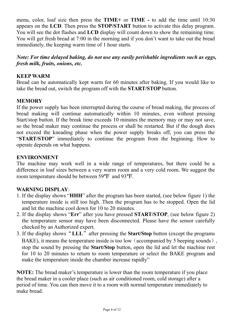menu, color, loaf size then press the **TIME** + or **TIME** - to add the time until 10:30 appears on the LCD. Then press the **STOP/START** button to activate this delay program. You will see the dot flashes and LCD display wil menu, color, loaf size then press the **TIME** + or **TIME** - to add the time until 10:30 appears on the **LCD**. Then press the **STOP/START** button to activate this delay program. You will see the dot flashes and **LCD** display menu, color, loaf size then press the **TIME** + or **TIME** - to add the time until 10:30 appears on the **LCD**. Then press the **STOP/START** button to activate this delay program. You will see the dot flashes and **LCD** display menu, color, loaf size then press the **TIME** + or **TIME** - to add the time until 10:30 appears on the LCD. Then press the **STOP/START** button to activate this delay program. You will see the dot flashes and LCD display wil menu, color, loaf size then press the **TIME** + or **TIME** - to add the time until appears on the LCD. Then press the **STOP/START** button to activate this delay pro-<br>You will see the dot flashes and LCD display will count do *Note: For time delayed baking, do not use any easily perishable ince until 10:30*<br>*Nou will see the dot flashes and LCD display will count down to show the remaining time.*<br>*You will get fresh bread at 7:00 in the morning* menu, color, loaf size then press the **TIME**+ or **TIME** - to appears on the **LCD**. Then press the **STOP/START** button to ac You will see the dot flashes and **LCD** display will count down to You will get fresh bread at 7:00 menu, color, loaf size then press the **TIME**+ or **TIME**<br>appears on the LCD. Then press the **STOP/START** button<br>You will see the dot flashes and LCD display will count dov<br>You will get fresh bread at 7:00 in the morning and menu, color, loaf size then press the **TIME** + or **TIME** - to add the time until 10:30<br>appears on the LCD. Then press the **STOP/START** button to activate this delay program.<br>You will get fresh bread at 7:00 in the morning menu, color, loaf size then press the **TIME**+ or **TIME** - to add the time until 10:30<br>appears on the LCD. Then press the **STOP/START** button to activate this delay program.<br>You will see the dot flashes and LCD display will

### **MEMORY**

appears on the LCD. Then press the STOP/START button to activate this delay program.<br>
You will get the dot flashes and LCD display will count down to show the remaining time.<br>
You will get fresh bread at 7:00 in the mornin Fou will see the dot Hashes and LCD display will count down to show the remaining time.<br>
You will get fresh bread at 7:00 in the morning and if you don't want to take out the bread<br>
immediately, the keeping warm time of 1 You will get tresh bread at 7:00 in the morning and it you don't want to take out the bread<br>immediately, the keeping warm time of 1 hour starts.<br>Note: For time delayed baking, do not use any easily perishable ingredients s immediately, the keeping warm time of 1 hour starts.<br>
Note: For time delayed baking, do not use any easily perishable ingredients such as eggs,<br>
fresh milk, fruits, onions, etc.<br>
KEEP WARM<br>
Bread can be automatically kept Note: For time delayed baking, do not use any easily perishable ingredients such as eggs, fresh milk, fruits, onions, etc.<br>
KEEP WARM<br>
Bread can be automatically kept warm for 60 minutes after baking. If you would like to<br> **Note:** For time delayed baking, do not use any easity perishable ingredients such as eggs, fresh milk, fruits, onions, etc.<br> **SEEP WARM**<br>
Bread can be automatically kept warm for 60 minutes after baking. If you would like **Fresh milk, fruits, onions, etc.**<br> **KEEP WARM**<br>
Bread can be automatically kept warm for 60 minutes after ba<br>
take the bread out, switch the program off with the **START/STC**<br> **MEMORY**<br>
If the power supply has been interru Bread can be automatically kept warm for 60 minutes after baking. If you would like to take the bread out, switch the program off with the **START/STOP** button.<br> **MEMORY**<br> **MEMORY**<br> **OF the power supply has been interrupted** take the bread out, switch the program off with the **START/STOP** button.<br> **MEMORY**<br>
If the power supply has been interrupted during the course of bread making, the process of<br>
bread making will continue automatically withi **MEMORY**<br>
If the power supply has been interrupted during the course of bread making, the proces<br>
bread making will continue automatically within 10 minutes, even without pres<br>
Start/stop button. If the break time exceeds oread making will commite automatally wutum 10 minutes, even wutum pressing<br>Start/stop button. If the break time exceeds 10 minutes the menory may or may not save,<br>so the bread maker may continue the process or shall be re

### **ENVIRONMENT**

- temperature inside is still too high. Then the program has to be stopped. Open the lid and let the machine cool down for 10 to 20 minutes.
- 2. If the display shows "**Err**" after you have pressed **START/STOP**, (see below figure 2) the temperature sensor may have been disconnected. Please have the sensor carefully checked by an Authorized expert.
- 3. If the display shows"**LLL**"after pressing the **Start/Stop** button (except the programs BAKE), it means the temperature inside is too low (accompanied by 5 beeping sounds), stop the sound by pressing the **Start/Stop** button, open the lid and let the machine rest for 10 to 20 minutes to return to room temperature or select the BAKE program and make the temperature inside the chamber increase rapidly"

**NOTE:** The bread maker's temperature is lower than the room temperature if you place the bread maker in a cooler place (such as air conditioned room, cold storage) after a period of time. You can then move it to a room with normal temperature immediately to make bread.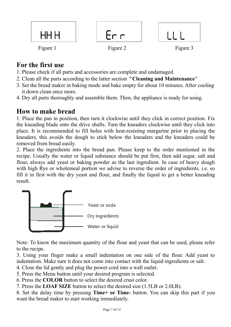

# **For the first use**

- 1. Please check if all parts and accessories are complete and undamaged.
- 2. Clean all the parts according to the latter section"**Cleaning and Maintenance**"
- 3. Set the bread maker in baking mode and bake empty for about 10 minutes. After cooling it down clean once more.
- 4. Dry all parts thoroughly and assemble them. Then, the appliance is ready for using.

# **How to make bread**

1. Place the pan in position, then turn it clockwise until they click in correct position. Fix the kneading blade onto the drive shafts. Turn the kneaders clockwise until they click into place. It is recommended to fill holes with heat-resisting margarine prior to placing the kneaders, this avoids the dough to stick below the kneaders and the kneaders could be removed from bread easily.

2. Place the ingredients into the bread pan. Please keep to the order mentioned in the recipe. Usually the water or liquid substance should be put first, then add sugar, salt and flour, always add yeast or baking powder as the last ingredient. In case of heavy dough with high Rye or wholemeal portion we advise to reverse the order of ingredients. i.e. so fill it in first with the dry yeast and flour, and finally the liquid to get a better kneading result.



Note: To know the maximum quantity of the flour and yeast that can be used, please refer to the recipe.

3. Using your finger make a small indentation on one side of the flour. Add yeast to indentation. Make sure it does not come into contact with the liquid ingredients or salt.

- 4. Close the lid gently and plug the power cord into a wall outlet.
- 5. Press the Menu button until your desired program is selected.
- 6. Press the **COLOR** button to select the desired crust color.
- 7. Press the **LOAF SIZE** button to select the desired size (1.5LB or 2.0LB).

8. Set the delay time by pressing **Time+ or Time-** button. You can skip this part if you want the bread maker to start working immediately.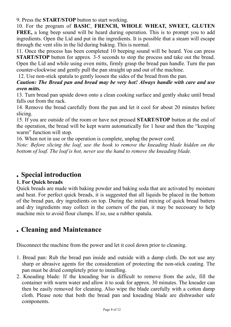9. Press the **START/STOP** button to start working.

10. For the program of **BASIC**, **FRENCH, WHOLE WHEAT, SWEET, GLUTEN FREE,** a long beep sound will be heard during operation. This is to prompt you to add ingredients. Open the Lid and put in the ingredients. It is possible that a steam will escape through the vent slits in the lid during baking. This is normal.

11. Once the process has been completed 10 beeping sound will be heard. You can press **START/STOP** button for approx. 3-5 seconds to stop the process and take out the bread. Open the Lid and while using oven mitts, firmly grasp the bread pan handle. Turn the pan counter-clockwise and gently pull the pan straight up and out of the machine.

12. Use non-stick spatula to gently loosen the sides of the bread from the pan.

*Caution: The Bread pan and bread may be very hot! Always handle with care and use oven mitts.*

13. Turn bread pan upside down onto a clean cooking surface and gently shake until bread falls out from the rack.

14. Remove the bread carefully from the pan and let it cool for about 20 minutes before slicing.

15. If you are outside of the room or have not pressed **START/STOP** button at the end of the operation, the bread will be kept warm automatically for 1 hour and then the "keeping warm" function will stop.

16. When not in use or the operation is complete, unplug the power cord.

*Note: Before slicing the loaf, use the hook to remove the kneading blade hidden on the bottom of loaf. The loaf is hot, never use the hand to remove the kneading blade.*

# **. Special introduction**

### **1. For Quick breads**

Quick breads are made with baking powder and baking soda that are activated by moisture and heat. For perfect quick breads, it is suggested that all liquids be placed in the bottom of the bread pan, dry ingredients on top. During the initial mixing of quick bread batters and dry ingredients may collect in the corners of the pan, it may be necessary to help machine mix to avoid flour clumps. If so, use a rubber spatula.

# **. Cleaning and Maintenance**

Disconnect the machine from the power and let it cool down prior to cleaning.

- 1. Bread pan: Rub the bread pan inside and outside with a damp cloth. Do not use any sharp or abrasive agents for the consideration of protecting the non-stick coating. The pan must be dried completely prior to installing.
- 2. Kneading blade: If the kneading bar is difficult to remove from the axle, fill the container with warm water and allow it to soak for approx.30 minutes. The kneader can then be easily removed for cleaning. Also wipe the blade carefully with a cotton damp cloth. Please note that both the bread pan and kneading blade are dishwasher safe components.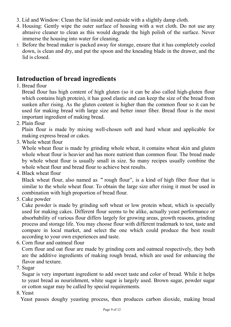- 3. Lid and Window: Clean the lid inside and outside with a slightly damp cloth.
- 4. Housing: Gently wipe the outer surface of housing with a wet cloth. Do not use any abrasive cleaner to clean as this would degrade the high polish of the surface. Never immerse the housing into water for cleaning.
- 5. Before the bread maker is packed away for storage, ensure that it has completely cooled down, is clean and dry, and put the spoon and the kneading blade in the drawer, and the lid is closed.

# **Introduction of bread ingredients**

1. Bread flour

Bread flour has high content of high gluten (so it can be also called high-gluten flour which contains high protein), it has good elastic and can keep the size of the bread from sunken after rising. As the gluten content is higher than the common flour so it can be used for making bread with large size and better inner fiber. Bread flour is the most important ingredient of making bread.

2. Plain flour

Plain flour is made by mixing well-chosen soft and hard wheat and applicable for making express bread or cakes.

3. Whole wheat flour

Whole wheat flour is made by grinding whole wheat, it contains wheat skin and gluten whole wheat flour is heavier and has more nutrient than common flour. The bread made by whole wheat flour is usually small in size. So many recipes usually combine the whole wheat flour and bread flour to achieve best results.

4. Black wheat flour

Black wheat flour, also named as "rough flour", is a kind of high fiber flour that is similar to the whole wheat flour. To obtain the large size after rising it must be used in combination with high proportion of bread flour.

5. Cake powder

Cake powder is made by grinding soft wheat or low protein wheat, which is specially used for making cakes. Different flour seems to be alike, actually yeast performance or absorbability of various flour differs largely for growing areas, growth reasons, grinding process and storage life. You may choose flour with different trademark to test, taste and compare in local market, and select the one which could produce the best result according to your own experiences and taste.

6. Corn flour and oatmeal flour

Corn flour and oat flour are made by grinding corn and oatmeal respectively, they both are the additive ingredients of making rough bread, which are used for enhancing the flavor and texture.

7. Sugar

Sugar is very important ingredient to add sweet taste and color of bread. While it helps to yeast bread as nourishment, white sugar is largely used. Brown sugar, powder sugar or cotton sugar may be called by special requirements.

8. Yeast

Yeast passes doughy yeasting process, then produces carbon dioxide, making bread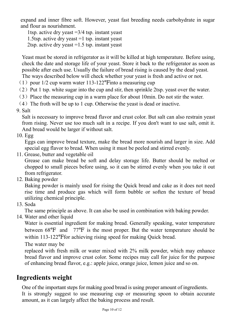expand and inner fibre soft. However, yeast fast breeding needs carbohydrate in sugar and flour as nourishment.

1tsp. active dry yeast =3/4 tsp. instant yeast 1.5tsp. active dry yeast =1 tsp. instant yeast 2tsp. active dry yeast =1.5 tsp. instant yeast

Expand and inner fibre soft. However, yeast fast breeding needs carbohydrate in sugar<br>
1 tsp. active dry yeast =3/4 tsp. instant yeast<br>
1.5tsp. active dry yeast =1 tsp. instant yeast<br>
2tsp. active dry yeast =1.5 tsp. insta Expand and inner fibre soft. However, yeast fast breeding needs carbohydrate in sugar<br>
and flour as nourishment.<br>
1 tsp. active dry yeast =3/4 tsp. instant yeast<br>
1.5tsp. active dry yeast =1.5 tsp. instant yeast<br>
2 tsp. a expand and inner fibre soft. However, yeast fast breeding needs carbohydrate in sugar<br>
and flour as nourishment.<br>
1tsp. active dry yeast = 15p. instant yeast<br>
1.5tsp. active dry yeast = 1 tsp. instant yeast<br>
2tsp. active d expand and inner fibre soft. However, yeast fast breeding needs carbohydrate in sugar<br>
and flour as nourishment.<br>
1.5tsp. active dry yeast =1 tsp. instant yeast<br>
2.15tsp. active dry yeast =1.5 tsp. instant yeast<br>
2.15tsp. expand and inner fibre soft. However, yeast fast breeding needs carbohydrate in sugar<br>and flour as nourishment.<br>Itsp. active dry yeast =3/4 tsp. instant yeast<br>1.5tsp. active dry yeast =1.5 tsp. instant yeast<br>2tsp. active expand and inner fibre soft. However, yeast fast breeding needs carbohydrate in sugar<br>
and flour as nourishment.<br>
1.5tsp. active dry yeast =3/4 tsp. instant yeast<br>
1.5tsp. active dry yeast =1.5 tsp. instant yeast<br>
2tsp. a expand and inner fibre soft. However, yeast fast breeding needs carbohydrate in sugar<br>
and flour as nourishment.<br>
1.5tsp. active dry yeast =1 tsp. instant yeast<br>
21.5tsp. active dry yeast =1.5 tsp. instant yeast<br>
22tsp. a (4) The froth will be up to 1 cup. Otherwise the years is dead or inactive.<br>
1.5 sp. active dry yeast = 1.5 sp. instant yeast<br>
2 tsp. active dry yeast = 1.5 sp. instant yeast<br>
2 tsp. active dry yeast = 1.5 sp. instant yea 1.5tsp. active dry yeast =3/4 tsp. instar<br>1.5tsp. active dry yeast =1 tsp. instar<br>2tsp. active dry yeast =1.5 tsp. instar<br>2tsp. active dry yeast =1.5 tsp. instar<br>Yeast must be stored in refrigerator as<br>check the date and

- 
- 
- 
- 

Salt is necessary to improve bread flavor and crust color.But salt can also restrain yeast from rising. Never use too much salt in a recipe. If you don't want to use salt, omit it. And bread would be larger if without salt.

10. Egg

Eggs can improve bread texture, make the bread more nourish and larger in size. Add special egg flavor to bread. When using it must be peeled and stirred evenly.

11. Grease, butter and vegetable oil

Grease can make bread be soft and delay storage life. Butter should be melted or chopped to small pieces before using, so it can be stirred evenly when you take it out from refrigerator.

12. Baking powder

Baking powder is mainly used for rising the Quick bread and cake as it does not need rise time and produce gas which will form bubble or soften the texture of bread utilizing chemical principle.

13. Soda

The same principle as above. It can also be used in combination with baking powder.

14. Water and other liquid

Eggs can improve bread texture, make the bread more nourish and larger in size. Add<br>
special egg flavor to bread. When using it must be peeled and stirred evenly.<br>
Grease, butter and vegetable oil<br>
Grease can make bread be special egg navor to bread. When using it must be peeled and stirred eventy.<br>Grease, butter and vegetable oil<br>Grease can make bread be soft and delay storage life. Butter should be melted or<br>chopped to small pieces before Grease, outer and vegetable on<br>
Grease can make bread be soft and delay storage life. Butter should be melted or<br>
chopped to small pieces before using, so it can be stirred evenly when you take it out<br>
from refrigerator.<br> chopped to small pieces before using, so it can be stir-<br>thopped to small pieces before using, so it can be stir-<br>from refrigerator.<br>Baking powder is mainly used for rising the Quick bre<br>rise time and produce gas which wil From refrigerator.<br>
Hom refrigerator.<br>
Baking powder is mainly used for rising the Quick bread and cake as it does not need<br>
rise time and produce gas which will form bubble or soften the texture of bread<br>
utilizing chemic Baking powder<br>Baking powder<br>Baking powder is mainly used for rising the Quick bread and cake as it does not need<br>rise time and produce gas which will form bubble or soften the texture of bread<br>sold<br>Soda<br>The same principle Baking powder is mainly used for rising the Quick bread and cake as it does not need<br>rise time and produce gas which will form bubble or soften the texture of bread<br>utilizing chemical principle.<br>Soda<br>The same principle as 12. Baking powder<br>
12. Baking powder<br>
Interigation-<br>
Interigation<br>
Interigation of the powder<br>
Interigation produce gas which will form bubble or soft<br>
utilizing chemical principle.<br>
13. Soda<br>
The same principle as above.

One of the important steps for making good bread is using proper amount of ingredients. It is strongly suggest to use measuring cup or measuring spoon to obtain accurate amount, as it can largely affect the baking process and result.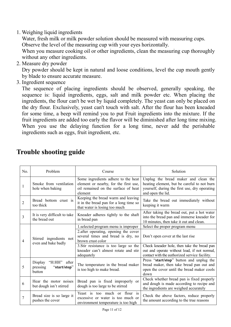1. Weighing liquid ingredients

Water, fresh milk or milk powder solution should be measured with measuring cups. Observe the level of the measuring cup with your eyes horizontally.

When you measure cooking oil or other ingredients, clean the measuring cup thoroughly without any other ingredients.

2. Measure dry powder

Dry powder should be kept in natural and loose conditions, level the cup mouth gently by blade to ensure accurate measure.

3. Ingredient sequence

The sequence of placing ingredients should be observed, generally speaking, the sequence is: liquid ingredients, eggs, salt and milk powder etc. When placing the ingredients, the flour can't be wet by liquid completely. The yeast can only be placed on the dry flour. Exclusively, yeast can't touch with salt. After the flour has been kneaded for some time, a beep will remind you to put Fruit ingredients into the mixture. If the fruit ingredients are added too early the flavor will be diminished after long time mixing. When you use the delaying function for a long time, never add the perishable ingredients such as eggs, fruit ingredient, etc.

| No.            | Problem                                                       | Course                                                                                                                         | Solution                                                                                                                                                  |
|----------------|---------------------------------------------------------------|--------------------------------------------------------------------------------------------------------------------------------|-----------------------------------------------------------------------------------------------------------------------------------------------------------|
|                | Smoke from ventilation<br>hole when baking                    | Some ingredients adhere to the heat<br>element or nearby, for the first use,<br>oil remained on the surface of heat<br>element | Unplug the bread maker and clean the<br>heating element, but be careful to not burn<br>yourself, during the first use, dry operating<br>and open the lid. |
| $\overline{c}$ | Bread bottom crust is<br>too thick                            | Keeping the bread warm and leaving<br>it in the bread pan for a long time so<br>that water is losing too much                  | Take the bread out immediately without<br>keeping it warm                                                                                                 |
| 3              | It is very difficult to take<br>the bread out                 | Kneader adheres tightly to the shaft<br>in bread pan                                                                           | After taking the bread out, put a hot water<br>into the bread pan and immerse kneader for<br>10 minutes, then take it out and clean.                      |
|                | Stirred ingredients not<br>even and bake badly                | 1.selected program menu is improper                                                                                            | Select the proper program menu                                                                                                                            |
| 4              |                                                               | 2. after operating, opening the cover<br>several times and bread is dry, no<br>brown crust color                               | Don't open cover at the last rise                                                                                                                         |
|                |                                                               | 3. Stir resistance is too large so the<br>kneader can't almost rotate and stir<br>adequately                                   | Check kneader hole, then take the bread pan<br>out and operate without load, if not normal,<br>contact with the authorized service facility.              |
| 5              | Display<br>"H:HH" after<br>pressing<br>"start/stop"<br>button | The temperature in the bread maker<br>is too high to make bread.                                                               | Press "start/stop" button and unplug the<br>bread maker, then take bread pan out and<br>open the cover until the bread maker cools<br>down                |
| 6              | Hear the motor noises<br>but dough isn't stirred              | Bread pan is fixed improperly or<br>dough is too large to be stirred                                                           | Check whether bread pan is fixed properly<br>and dough is made according to recipe and<br>the ingredients are weighed accurately                          |
| 7              | Bread size is so large it<br>pushes the cover                 | Yeast is too much or flour is<br>excessive or water is too much or<br>environment temperature is too high                      | Check the above factors, reduce properly<br>the amount according to the true reasons                                                                      |

# **Trouble shooting guide**